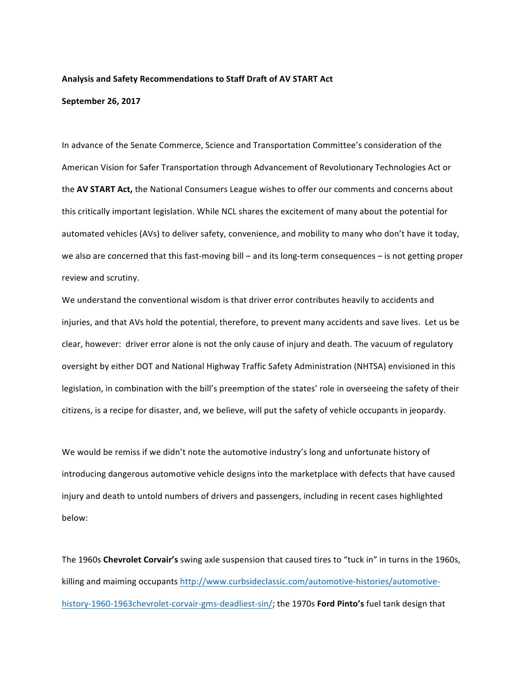## Analysis and Safety Recommendations to Staff Draft of AV START Act

## **September 26, 2017**

In advance of the Senate Commerce, Science and Transportation Committee's consideration of the American Vision for Safer Transportation through Advancement of Revolutionary Technologies Act or the **AV START Act,** the National Consumers League wishes to offer our comments and concerns about this critically important legislation. While NCL shares the excitement of many about the potential for automated vehicles (AVs) to deliver safety, convenience, and mobility to many who don't have it today, we also are concerned that this fast-moving bill – and its long-term consequences – is not getting proper review and scrutiny.

We understand the conventional wisdom is that driver error contributes heavily to accidents and injuries, and that AVs hold the potential, therefore, to prevent many accidents and save lives. Let us be clear, however: driver error alone is not the only cause of injury and death. The vacuum of regulatory oversight by either DOT and National Highway Traffic Safety Administration (NHTSA) envisioned in this legislation, in combination with the bill's preemption of the states' role in overseeing the safety of their citizens, is a recipe for disaster, and, we believe, will put the safety of vehicle occupants in jeopardy.

We would be remiss if we didn't note the automotive industry's long and unfortunate history of introducing dangerous automotive vehicle designs into the marketplace with defects that have caused injury and death to untold numbers of drivers and passengers, including in recent cases highlighted below: 

The 1960s Chevrolet Corvair's swing axle suspension that caused tires to "tuck in" in turns in the 1960s, killing and maiming occupants http://www.curbsideclassic.com/automotive-histories/automotivehistory-1960-1963chevrolet-corvair-gms-deadliest-sin/; the 1970s Ford Pinto's fuel tank design that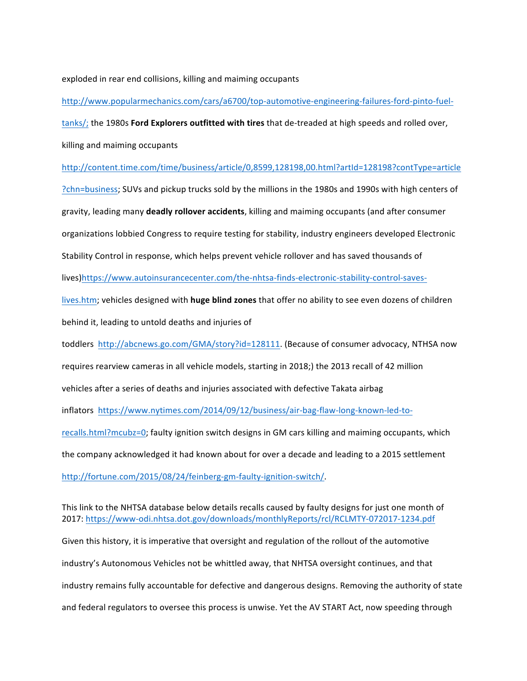exploded in rear end collisions, killing and maiming occupants

http://www.popularmechanics.com/cars/a6700/top-automotive-engineering-failures-ford-pinto-fueltanks/; the 1980s Ford Explorers outfitted with tires that de-treaded at high speeds and rolled over, killing and maiming occupants http://content.time.com/time/business/article/0,8599,128198,00.html?artId=128198?contType=article ?chn=business; SUVs and pickup trucks sold by the millions in the 1980s and 1990s with high centers of gravity, leading many **deadly rollover accidents**, killing and maiming occupants (and after consumer organizations lobbied Congress to require testing for stability, industry engineers developed Electronic Stability Control in response, which helps prevent vehicle rollover and has saved thousands of lives)https://www.autoinsurancecenter.com/the-nhtsa-finds-electronic-stability-control-saveslives.htm; vehicles designed with **huge blind zones** that offer no ability to see even dozens of children behind it, leading to untold deaths and injuries of toddlers http://abcnews.go.com/GMA/story?id=128111. (Because of consumer advocacy, NTHSA now requires rearview cameras in all vehicle models, starting in 2018;) the 2013 recall of 42 million vehicles after a series of deaths and injuries associated with defective Takata airbag inflators https://www.nytimes.com/2014/09/12/business/air-bag-flaw-long-known-led-torecalls.html?mcubz=0; faulty ignition switch designs in GM cars killing and maiming occupants, which the company acknowledged it had known about for over a decade and leading to a 2015 settlement http://fortune.com/2015/08/24/feinberg-gm-faulty-ignition-switch/.

This link to the NHTSA database below details recalls caused by faulty designs for just one month of 2017: https://www-odi.nhtsa.dot.gov/downloads/monthlyReports/rcl/RCLMTY-072017-1234.pdf Given this history, it is imperative that oversight and regulation of the rollout of the automotive industry's Autonomous Vehicles not be whittled away, that NHTSA oversight continues, and that industry remains fully accountable for defective and dangerous designs. Removing the authority of state and federal regulators to oversee this process is unwise. Yet the AV START Act, now speeding through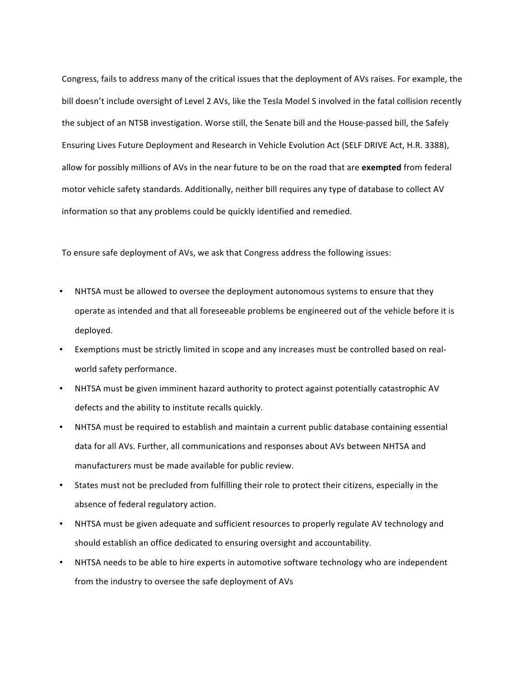Congress, fails to address many of the critical issues that the deployment of AVs raises. For example, the bill doesn't include oversight of Level 2 AVs, like the Tesla Model S involved in the fatal collision recently the subject of an NTSB investigation. Worse still, the Senate bill and the House-passed bill, the Safely Ensuring Lives Future Deployment and Research in Vehicle Evolution Act (SELF DRIVE Act, H.R. 3388), allow for possibly millions of AVs in the near future to be on the road that are exempted from federal motor vehicle safety standards. Additionally, neither bill requires any type of database to collect AV information so that any problems could be quickly identified and remedied.

To ensure safe deployment of AVs, we ask that Congress address the following issues:

- NHTSA must be allowed to oversee the deployment autonomous systems to ensure that they operate as intended and that all foreseeable problems be engineered out of the vehicle before it is deployed.
- Exemptions must be strictly limited in scope and any increases must be controlled based on realworld safety performance.
- NHTSA must be given imminent hazard authority to protect against potentially catastrophic AV defects and the ability to institute recalls quickly.
- NHTSA must be required to establish and maintain a current public database containing essential data for all AVs. Further, all communications and responses about AVs between NHTSA and manufacturers must be made available for public review.
- States must not be precluded from fulfilling their role to protect their citizens, especially in the absence of federal regulatory action.
- NHTSA must be given adequate and sufficient resources to properly regulate AV technology and should establish an office dedicated to ensuring oversight and accountability.
- NHTSA needs to be able to hire experts in automotive software technology who are independent from the industry to oversee the safe deployment of AVs